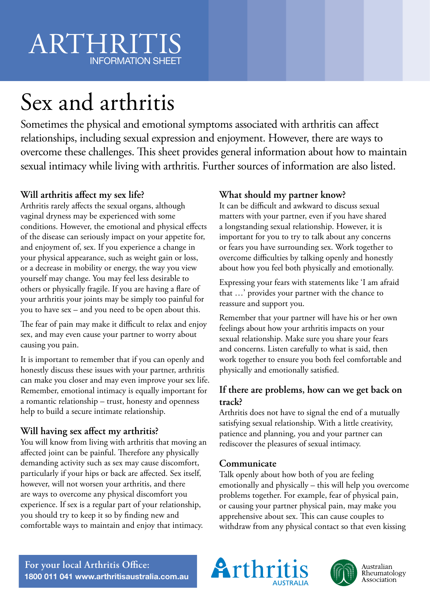## ARTHRITIS INFORMATION SHEET

# Sex and arthritis

Sometimes the physical and emotional symptoms associated with arthritis can affect relationships, including sexual expression and enjoyment. However, there are ways to overcome these challenges. This sheet provides general information about how to maintain sexual intimacy while living with arthritis. Further sources of information are also listed.

### **Will arthritis affect my sex life?**

Arthritis rarely affects the sexual organs, although vaginal dryness may be experienced with some conditions. However, the emotional and physical effects of the disease can seriously impact on your appetite for, and enjoyment of, sex. If you experience a change in your physical appearance, such as weight gain or loss, or a decrease in mobility or energy, the way you view yourself may change. You may feel less desirable to others or physically fragile. If you are having a flare of your arthritis your joints may be simply too painful for you to have sex – and you need to be open about this.

The fear of pain may make it difficult to relax and enjoy sex, and may even cause your partner to worry about causing you pain.

It is important to remember that if you can openly and honestly discuss these issues with your partner, arthritis can make you closer and may even improve your sex life. Remember, emotional intimacy is equally important for a romantic relationship – trust, honesty and openness help to build a secure intimate relationship.

### **Will having sex affect my arthritis?**

You will know from living with arthritis that moving an affected joint can be painful. Therefore any physically demanding activity such as sex may cause discomfort, particularly if your hips or back are affected. Sex itself, however, will not worsen your arthritis, and there are ways to overcome any physical discomfort you experience. If sex is a regular part of your relationship, you should try to keep it so by finding new and comfortable ways to maintain and enjoy that intimacy.

### **What should my partner know?**

It can be difficult and awkward to discuss sexual matters with your partner, even if you have shared a longstanding sexual relationship. However, it is important for you to try to talk about any concerns or fears you have surrounding sex. Work together to overcome difficulties by talking openly and honestly about how you feel both physically and emotionally.

Expressing your fears with statements like 'I am afraid that …' provides your partner with the chance to reassure and support you.

Remember that your partner will have his or her own feelings about how your arthritis impacts on your sexual relationship. Make sure you share your fears and concerns. Listen carefully to what is said, then work together to ensure you both feel comfortable and physically and emotionally satisfied.

### **If there are problems, how can we get back on track?**

Arthritis does not have to signal the end of a mutually satisfying sexual relationship. With a little creativity, patience and planning, you and your partner can rediscover the pleasures of sexual intimacy.

### **Communicate**

Talk openly about how both of you are feeling emotionally and physically – this will help you overcome problems together. For example, fear of physical pain, or causing your partner physical pain, may make you apprehensive about sex. This can cause couples to withdraw from any physical contact so that even kissing